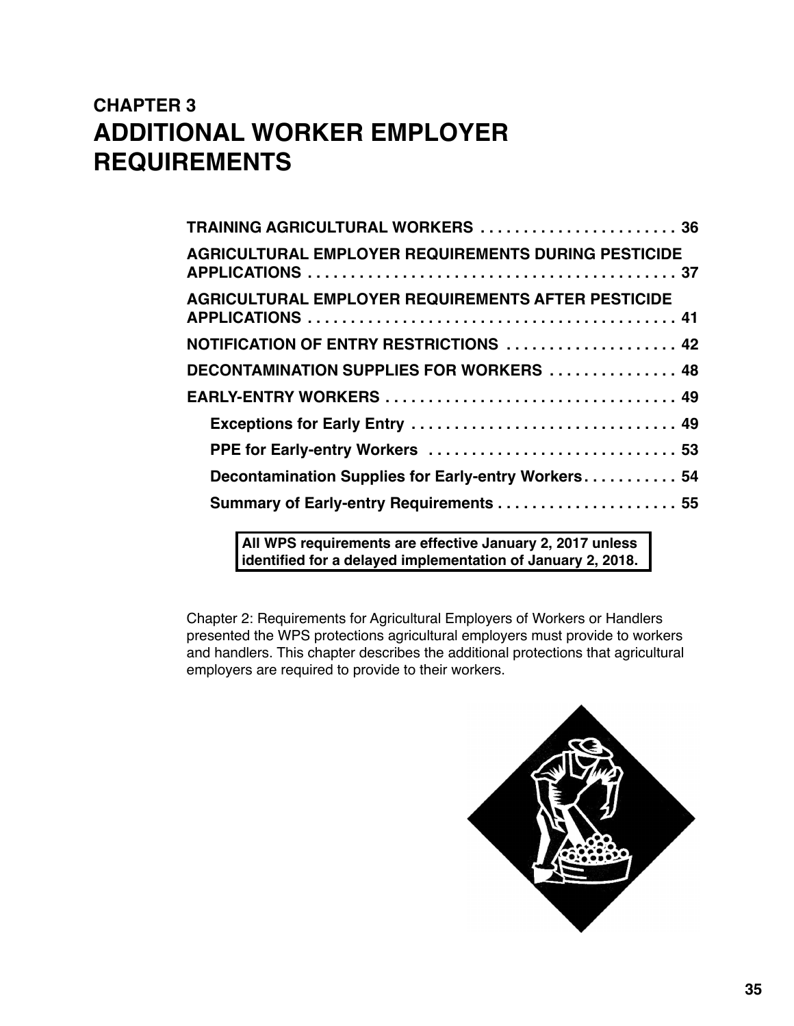# **CHAPTER 3 ADDITIONAL WORKER EMPLOYER REQUIREMENTS**

| TRAINING AGRICULTURAL WORKERS  36                          |
|------------------------------------------------------------|
| <b>AGRICULTURAL EMPLOYER REQUIREMENTS DURING PESTICIDE</b> |
| <b>AGRICULTURAL EMPLOYER REQUIREMENTS AFTER PESTICIDE</b>  |
| NOTIFICATION OF ENTRY RESTRICTIONS  42                     |
| DECONTAMINATION SUPPLIES FOR WORKERS  48                   |
| EARLY-ENTRY WORKERS  49                                    |
| Exceptions for Early Entry  49                             |
| PPE for Early-entry Workers  53                            |
| Decontamination Supplies for Early-entry Workers 54        |
|                                                            |
|                                                            |

**All WPS requirements are effective January 2, 2017 unless identified for a delayed implementation of January 2, 2018.** 

Chapter 2: Requirements for Agricultural Employers of Workers or Handlers presented the WPS protections agricultural employers must provide to workers and handlers. This chapter describes the additional protections that agricultural employers are required to provide to their workers.

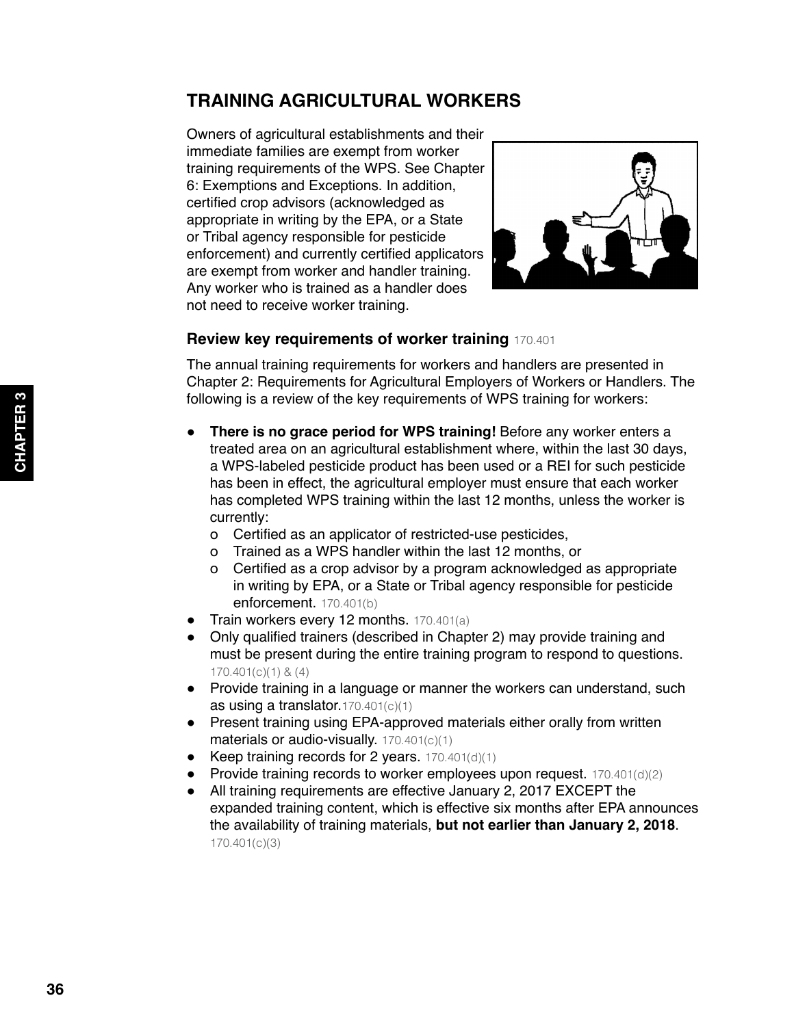# <span id="page-1-0"></span>**TRAINING AGRICULTURAL WORKERS**

Owners of agricultural establishments and their immediate families are exempt from worker training requirements of the WPS. See Chapter 6: Exemptions and Exceptions. In addition, certified crop advisors (acknowledged as appropriate in writing by the EPA, or a State or Tribal agency responsible for pesticide enforcement) and currently certified applicators are exempt from worker and handler training. Any worker who is trained as a handler does not need to receive worker training.



#### **Review key requirements of worker training** 170.401

The annual training requirements for workers and handlers are presented in Chapter 2: Requirements for Agricultural Employers of Workers or Handlers. The following is a review of the key requirements of WPS training for workers:

- **There is no grace period for WPS training!** Before any worker enters a treated area on an agricultural establishment where, within the last 30 days, a WPS-labeled pesticide product has been used or a REI for such pesticide has been in effect, the agricultural employer must ensure that each worker has completed WPS training within the last 12 months, unless the worker is currently:
	- о Certified as an applicator of restricted-use pesticides,
	- о Trained as a WPS handler within the last 12 months, or
	- о Certified as a crop advisor by a program acknowledged as appropriate in writing by EPA, or a State or Tribal agency responsible for pesticide enforcement. 170.401(b)
- Train workers every 12 months. 170.401(a)
- Only qualified trainers (described in Chapter 2) may provide training and must be present during the entire training program to respond to questions. 170.401(c)(1) & (4)
- Provide training in a language or manner the workers can understand, such as using a translator.170.401(c)(1)
- Present training using EPA-approved materials either orally from written materials or audio-visually. 170.401(c)(1)
- Keep training records for 2 years.  $170.401(d)(1)$
- Provide training records to worker employees upon request.  $170.401(d)(2)$
- All training requirements are effective January 2, 2017 EXCEPT the expanded training content, which is effective six months after EPA announces the availability of training materials, **but not earlier than January 2, 2018**. 170.401(c)(3)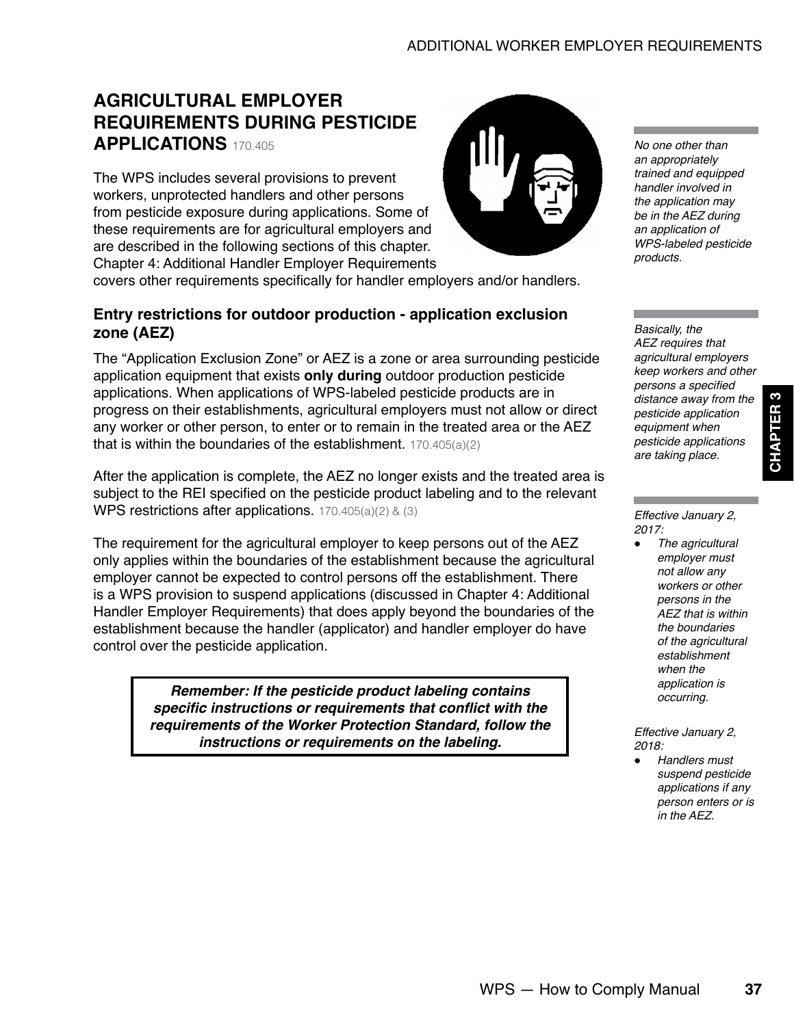# <span id="page-2-0"></span>**AGRICULTURAL EMPLOYER REQUIREMENTS DURING PESTICIDE APPLICATIONS** 170.405

The WPS includes several provisions to prevent workers, unprotected handlers and other persons from pesticide exposure during applications. Some of these requirements are for agricultural employers and are described in the following sections of this chapter. Chapter 4: Additional Handler Employer Requirements

covers other requirements specifically for handler employers and/or handlers.

# **Entry restrictions for outdoor production - application exclusion zone (AEZ)**

The "Application Exclusion Zone" or AEZ is a zone or area surrounding pesticide application equipment that exists **only during** outdoor production pesticide applications. When applications of WPS-labeled pesticide products are in progress on their establishments, agricultural employers must not allow or direct any worker or other person, to enter or to remain in the treated area or the AEZ that is within the boundaries of the establishment. 170.405(a)(2)

After the application is complete, the AEZ no longer exists and the treated area is subject to the REI specified on the pesticide product labeling and to the relevant WPS restrictions after applications. 170.405(a)(2) & (3)

The requirement for the agricultural employer to keep persons out of the AEZ only applies within the boundaries of the establishment because the agricultural employer cannot be expected to control persons off the establishment. There is a WPS provision to suspend applications (discussed in Chapter 4: Additional Handler Employer Requirements) that does apply beyond the boundaries of the establishment because the handler (applicator) and handler employer do have control over the pesticide application.

> *Remember: If the pesticide product labeling contains*  **specific instructions or requirements that conflict with the requirements of the Worker Protection Standard, follow the instructions or requirements on the labeling.**



*Basically, the AEZ requires that agricultural employers keep workers and other*  persons a specified *distance away from the pesticide application equipment when pesticide applications are taking place.*

**CHAPTER 3**

**CHAPTER** 

3

*Effective January 2, 2017:*

> ● *The agricultural employer must not allow any workers or other persons in the AEZ that is within the boundaries of the agricultural establishment when the application is occurring.*

*Effective January 2, 2018:*

● *Handlers must suspend pesticide applications if any person enters or is in the AEZ.*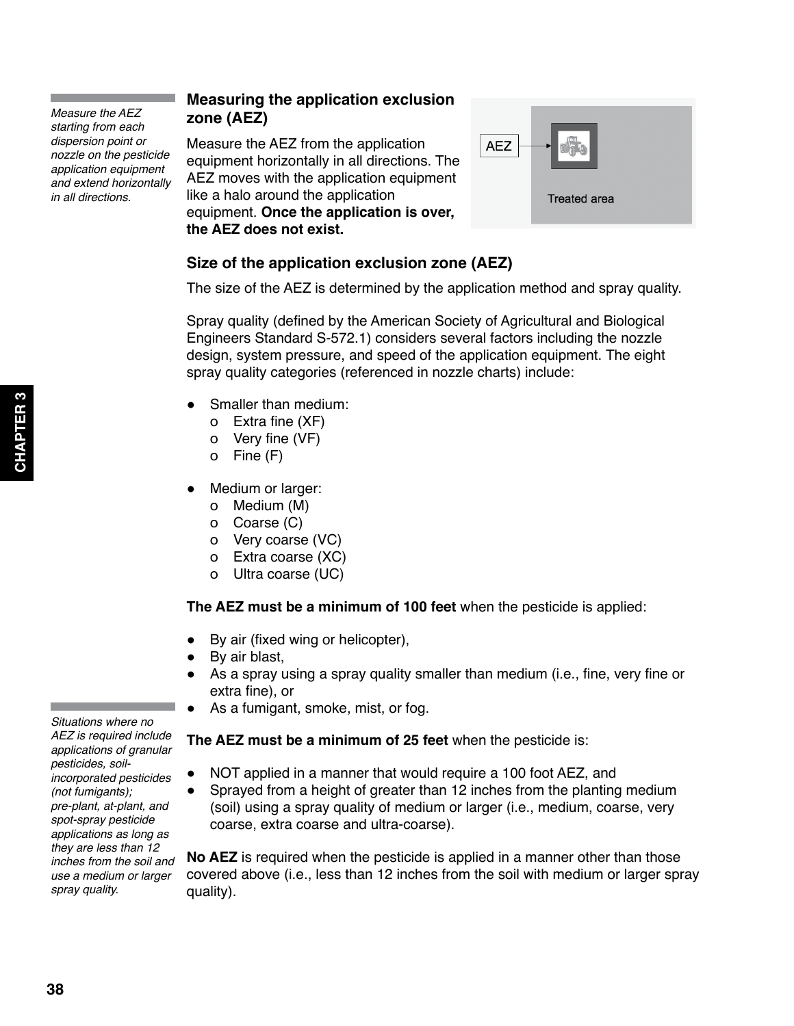*Measure the AEZ starting from each dispersion point or nozzle on the pesticide application equipment and extend horizontally in all directions.*

# **Measuring the application exclusion zone (AEZ)**

Measure the AEZ from the application equipment horizontally in all directions. The AEZ moves with the application equipment like a halo around the application equipment. **Once the application is over, the AEZ does not exist.**



# **Size of the application exclusion zone (AEZ)**

The size of the AEZ is determined by the application method and spray quality.

Spray quality (defined by the American Society of Agricultural and Biological Engineers Standard S-572.1) considers several factors including the nozzle design, system pressure, and speed of the application equipment. The eight spray quality categories (referenced in nozzle charts) include:

- Smaller than medium:
	- о Extra fine (XF)
	- о Very fine (VF)
	- о Fine (F)
- Medium or larger:
	- о Medium (M)
	- о Coarse (C)
	- о Very coarse (VC)
	- о Extra coarse (XC)
	- о Ultra coarse (UC)

**The AEZ must be a minimum of 100 feet** when the pesticide is applied:

- By air (fixed wing or helicopter),
- By air blast,
- As a spray using a spray quality smaller than medium (i.e., fine, very fine or extra fine), or
- As a fumigant, smoke, mist, or fog.

# **The AEZ must be a minimum of 25 feet** when the pesticide is:

- NOT applied in a manner that would require a 100 foot AEZ, and
- Sprayed from a height of greater than 12 inches from the planting medium (soil) using a spray quality of medium or larger (i.e., medium, coarse, very coarse, extra coarse and ultra-coarse).

**No AEZ** is required when the pesticide is applied in a manner other than those covered above (i.e., less than 12 inches from the soil with medium or larger spray quality).

*Situations where no AEZ is required include applications of granular pesticides, soilincorporated pesticides (not fumigants); pre-plant, at-plant, and spot-spray pesticide applications as long as they are less than 12 inches from the soil and use a medium or larger spray quality.*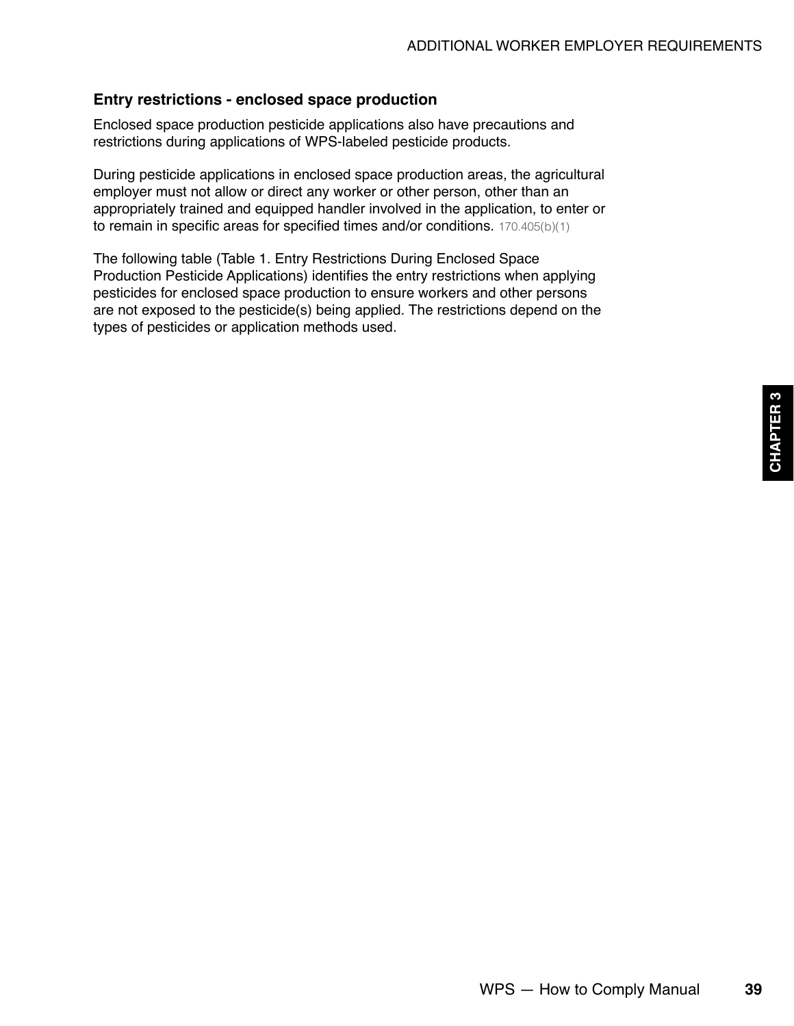## **Entry restrictions - enclosed space production**

Enclosed space production pesticide applications also have precautions and restrictions during applications of WPS-labeled pesticide products.

During pesticide applications in enclosed space production areas, the agricultural employer must not allow or direct any worker or other person, other than an appropriately trained and equipped handler involved in the application, to enter or to remain in specific areas for specified times and/or conditions. 170.405(b)(1)

The following table (Table 1. Entry Restrictions During Enclosed Space Production Pesticide Applications) identifies the entry restrictions when applying pesticides for enclosed space production to ensure workers and other persons are not exposed to the pesticide(s) being applied. The restrictions depend on the types of pesticides or application methods used.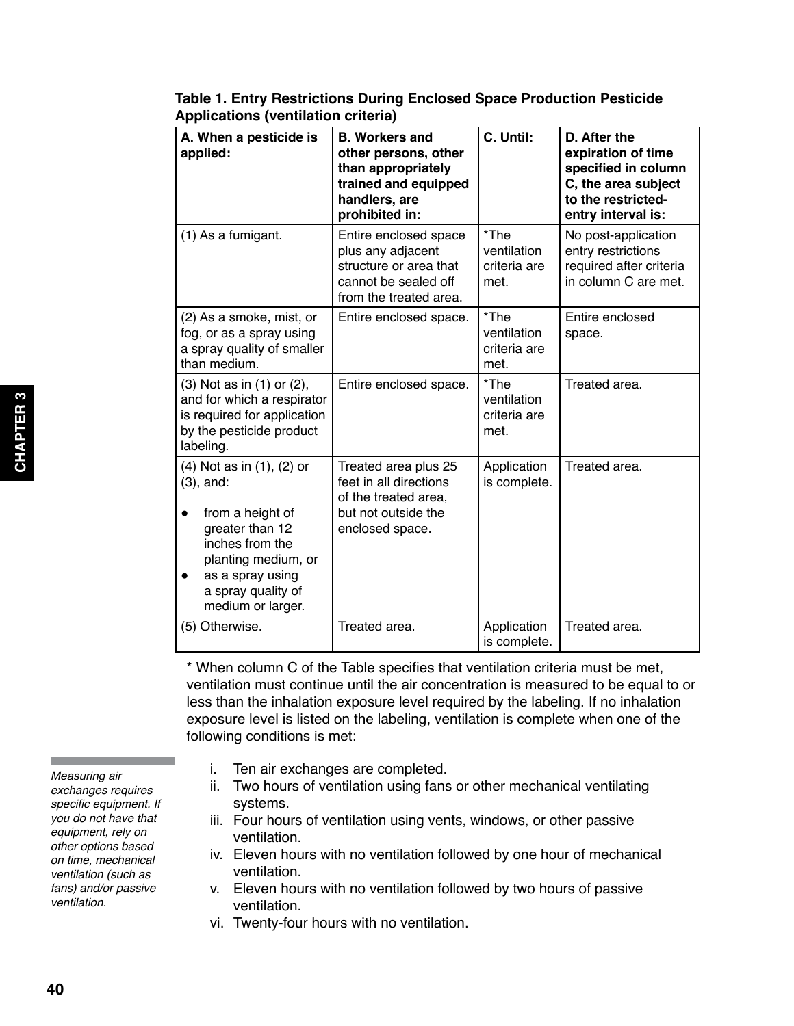| A. When a pesticide is<br>applied:                                                                                                                                                        | <b>B. Workers and</b><br>other persons, other<br>than appropriately<br>trained and equipped<br>handlers, are<br>prohibited in: | C. Until:                                   | D. After the<br>expiration of time<br>specified in column<br>C, the area subject<br>to the restricted-<br>entry interval is: |
|-------------------------------------------------------------------------------------------------------------------------------------------------------------------------------------------|--------------------------------------------------------------------------------------------------------------------------------|---------------------------------------------|------------------------------------------------------------------------------------------------------------------------------|
| (1) As a fumigant.                                                                                                                                                                        | Entire enclosed space<br>plus any adjacent<br>structure or area that<br>cannot be sealed off<br>from the treated area.         | *The<br>ventilation<br>criteria are<br>met. | No post-application<br>entry restrictions<br>required after criteria<br>in column C are met.                                 |
| (2) As a smoke, mist, or<br>fog, or as a spray using<br>a spray quality of smaller<br>than medium.                                                                                        | Entire enclosed space.                                                                                                         | *The<br>ventilation<br>criteria are<br>met. | Entire enclosed<br>space.                                                                                                    |
| (3) Not as in (1) or (2),<br>and for which a respirator<br>is required for application<br>by the pesticide product<br>labeling.                                                           | Entire enclosed space.                                                                                                         | *The<br>ventilation<br>criteria are<br>met. | Treated area.                                                                                                                |
| (4) Not as in (1), (2) or<br>$(3)$ , and:<br>from a height of<br>greater than 12<br>inches from the<br>planting medium, or<br>as a spray using<br>a spray quality of<br>medium or larger. | Treated area plus 25<br>feet in all directions<br>of the treated area,<br>but not outside the<br>enclosed space.               | Application<br>is complete.                 | Treated area.                                                                                                                |
| (5) Otherwise.                                                                                                                                                                            | Treated area.                                                                                                                  | Application<br>is complete.                 | Treated area.                                                                                                                |

# **Table 1. Entry Restrictions During Enclosed Space Production Pesticide Applications (ventilation criteria)**

\* When column C of the Table specifies that ventilation criteria must be met, ventilation must continue until the air concentration is measured to be equal to or less than the inhalation exposure level required by the labeling. If no inhalation exposure level is listed on the labeling, ventilation is complete when one of the following conditions is met:

*Measuring air exchanges requires*  specific equipment. If *you do not have that equipment, rely on other options based on time, mechanical ventilation (such as fans) and/or passive ventilation.*

- i. Ten air exchanges are completed.
- ii. Two hours of ventilation using fans or other mechanical ventilating systems.
- iii. Four hours of ventilation using vents, windows, or other passive ventilation.
- iv. Eleven hours with no ventilation followed by one hour of mechanical ventilation.
- v. Eleven hours with no ventilation followed by two hours of passive ventilation.
- vi. Twenty-four hours with no ventilation.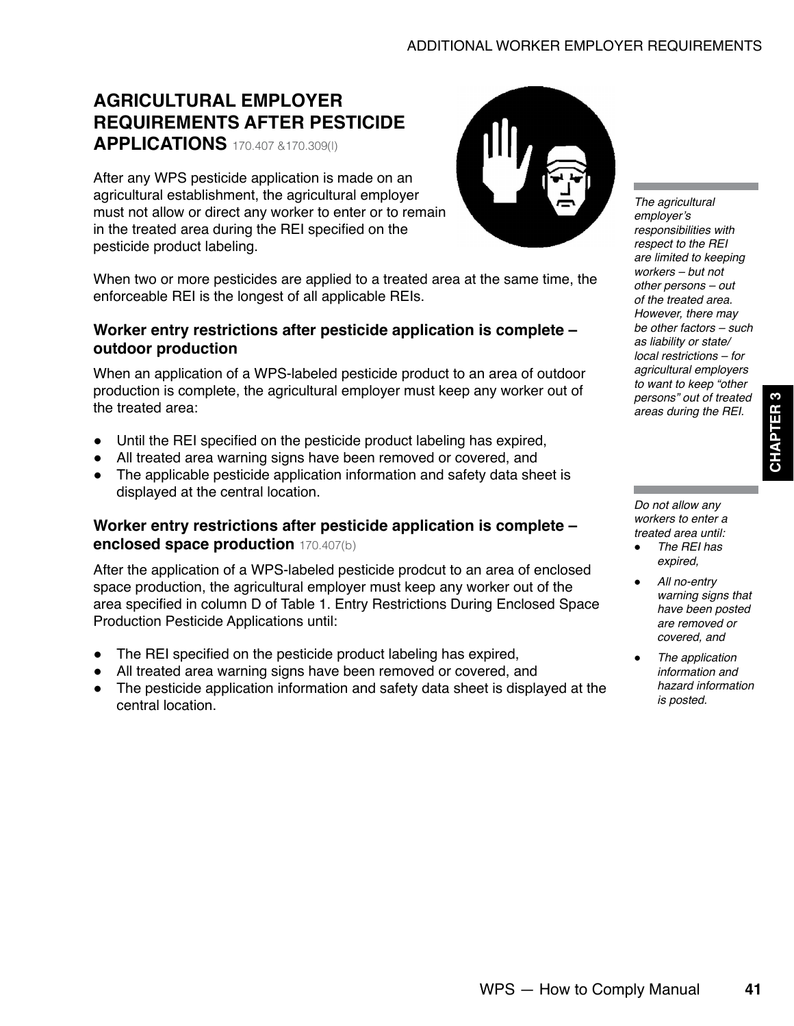# <span id="page-6-0"></span>**AGRICULTURAL EMPLOYER REQUIREMENTS AFTER PESTICIDE APPLICATIONS** 170.407 &170.309(l)

After any WPS pesticide application is made on an agricultural establishment, the agricultural employer must not allow or direct any worker to enter or to remain in the treated area during the REI specified on the pesticide product labeling.

When two or more pesticides are applied to a treated area at the same time, the enforceable REI is the longest of all applicable REIs.

# **Worker entry restrictions after pesticide application is complete – outdoor production**

When an application of a WPS-labeled pesticide product to an area of outdoor production is complete, the agricultural employer must keep any worker out of the treated area:

- Until the REI specified on the pesticide product labeling has expired,
- All treated area warning signs have been removed or covered, and
- The applicable pesticide application information and safety data sheet is displayed at the central location.

# **Worker entry restrictions after pesticide application is complete – enclosed space production** 170.407(b)

After the application of a WPS-labeled pesticide prodcut to an area of enclosed space production, the agricultural employer must keep any worker out of the area specified in column D of Table 1. Entry Restrictions During Enclosed Space Production Pesticide Applications until:

- The REI specified on the pesticide product labeling has expired,
- All treated area warning signs have been removed or covered, and
- The pesticide application information and safety data sheet is displayed at the central location.



*The agricultural*  employer's *responsibilities with*  respect to the REI *are limited to keeping workers – but not other persons – out of the treated area. However, there may be other factors – such as liability or state/ local restrictions – for agricultural employers to want to keep "other persons" out of treated*  areas during the REI.

**CHAPTER 3**

**CHAPTER** 

*Do not allow any workers to enter a treated area until:*

- The REI has *expired,*
- *All no-entry warning signs that have been posted are removed or covered, and*
- *The application information and hazard information is posted.*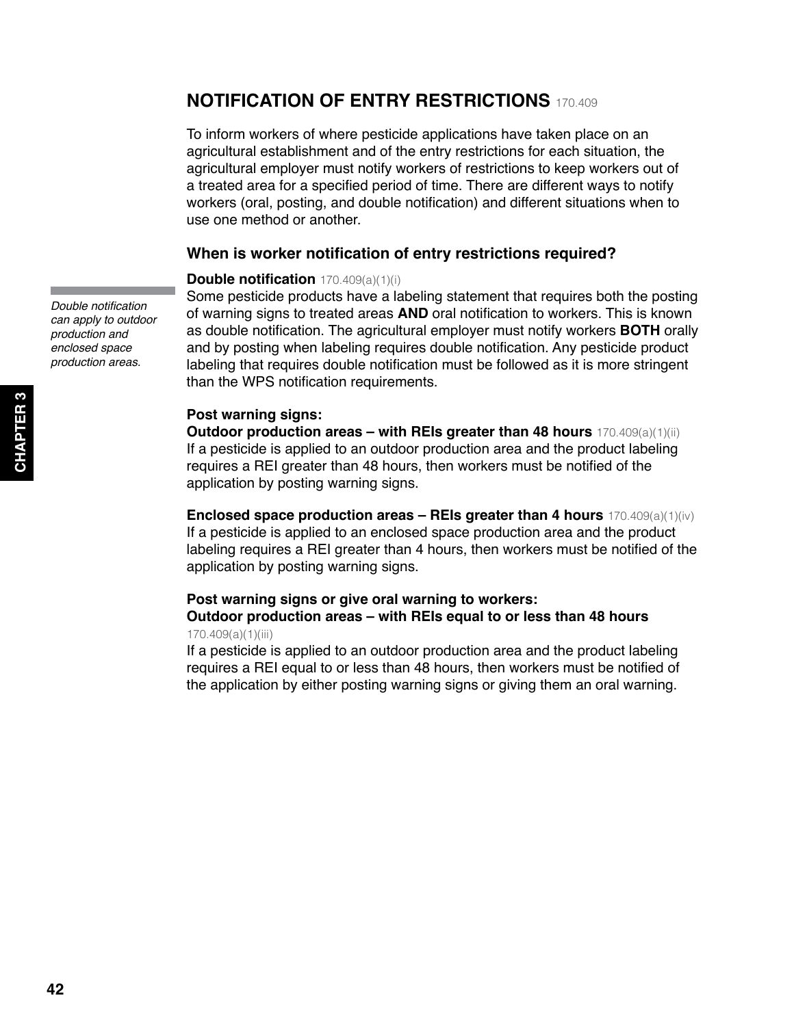# <span id="page-7-0"></span>**NOTIFICATION OF ENTRY RESTRICTIONS** 170.409

To inform workers of where pesticide applications have taken place on an agricultural establishment and of the entry restrictions for each situation, the agricultural employer must notify workers of restrictions to keep workers out of a treated area for a specified period of time. There are different ways to notify workers (oral, posting, and double notification) and different situations when to use one method or another.

### **When is worker notification of entry restrictions required?**

#### **Double notification** 170.409(a)(1)(i)

Some pesticide products have a labeling statement that requires both the posting of warning signs to treated areas **AND** oral notification to workers. This is known as double notification. The agricultural employer must notify workers **BOTH** orally and by posting when labeling requires double notification. Any pesticide product labeling that requires double notification must be followed as it is more stringent than the WPS notification requirements.

#### **Post warning signs:**

**Outdoor production areas – with REIs greater than 48 hours** 170.409(a)(1)(ii) If a pesticide is applied to an outdoor production area and the product labeling requires a REI greater than 48 hours, then workers must be notified of the application by posting warning signs.

**Enclosed space production areas – REIs greater than 4 hours** 170.409(a)(1)(iv) If a pesticide is applied to an enclosed space production area and the product labeling requires a REI greater than 4 hours, then workers must be notified of the application by posting warning signs.

#### **Post warning signs or give oral warning to workers:**

#### **Outdoor production areas – with REIs equal to or less than 48 hours**  170.409(a)(1)(iii)

If a pesticide is applied to an outdoor production area and the product labeling requires a REI equal to or less than 48 hours, then workers must be notified of the application by either posting warning signs or giving them an oral warning.

Double notification *can apply to outdoor production and enclosed space production areas.*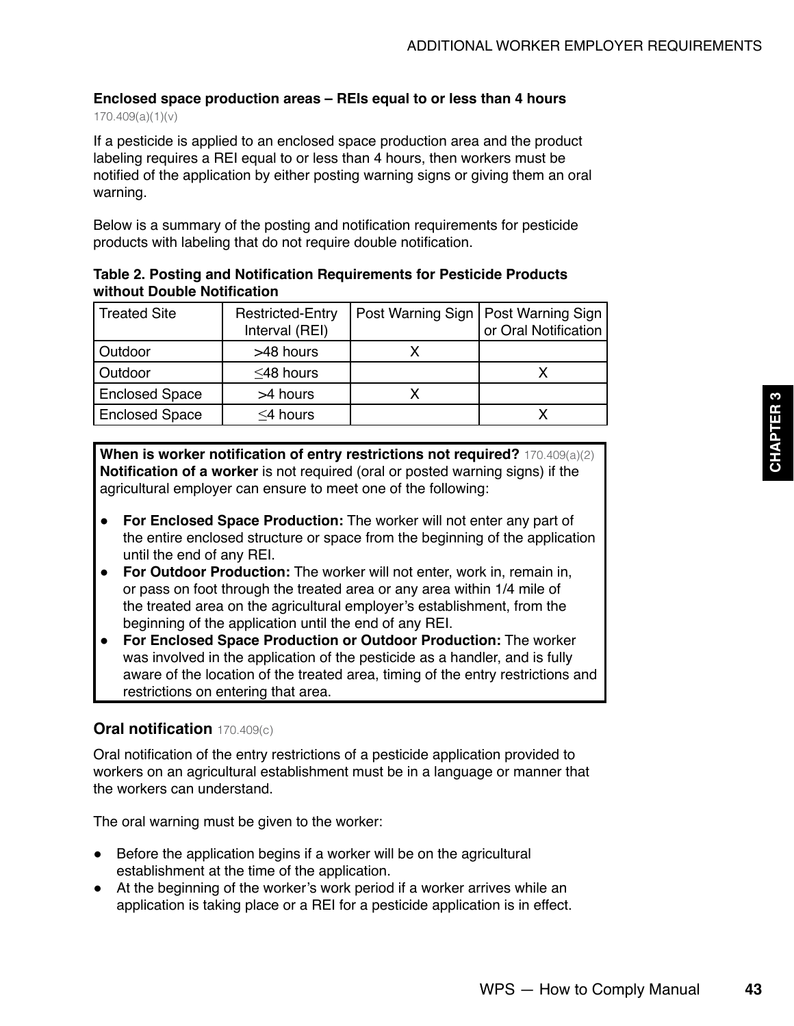# **Enclosed space production areas – REIs equal to or less than 4 hours**

170.409(a)(1)(v)

If a pesticide is applied to an enclosed space production area and the product labeling requires a REI equal to or less than 4 hours, then workers must be notified of the application by either posting warning signs or giving them an oral warning.

Below is a summary of the posting and notification requirements for pesticide products with labeling that do not require double notification.

#### **Table 2. Posting and Notification Requirements for Pesticide Products without Double Notification**

| Treated Site          | <b>Restricted-Entry</b><br>Interval (REI) | Post Warning Sign   Post Warning Sign | or Oral Notification |
|-----------------------|-------------------------------------------|---------------------------------------|----------------------|
| Outdoor               | >48 hours                                 |                                       |                      |
| <b>Outdoor</b>        | $\leq$ 48 hours                           |                                       |                      |
| <b>Enclosed Space</b> | >4 hours                                  |                                       |                      |
| <b>Enclosed Space</b> | $\leq$ 4 hours                            |                                       |                      |

**When is worker notification of entry restrictions not required?** 170.409(a)(2) **Notification of a worker** is not required (oral or posted warning signs) if the agricultural employer can ensure to meet one of the following:

- **For Enclosed Space Production:** The worker will not enter any part of the entire enclosed structure or space from the beginning of the application until the end of any REI.
- **For Outdoor Production:** The worker will not enter, work in, remain in, or pass on foot through the treated area or any area within 1/4 mile of the treated area on the agricultural employer's establishment, from the beginning of the application until the end of any REI.
- **For Enclosed Space Production or Outdoor Production:** The worker was involved in the application of the pesticide as a handler, and is fully aware of the location of the treated area, timing of the entry restrictions and restrictions on entering that area.

# **Oral notification** 170.409(c)

Oral notification of the entry restrictions of a pesticide application provided to workers on an agricultural establishment must be in a language or manner that the workers can understand.

The oral warning must be given to the worker:

- Before the application begins if a worker will be on the agricultural establishment at the time of the application.
- At the beginning of the worker's work period if a worker arrives while an application is taking place or a REI for a pesticide application is in effect.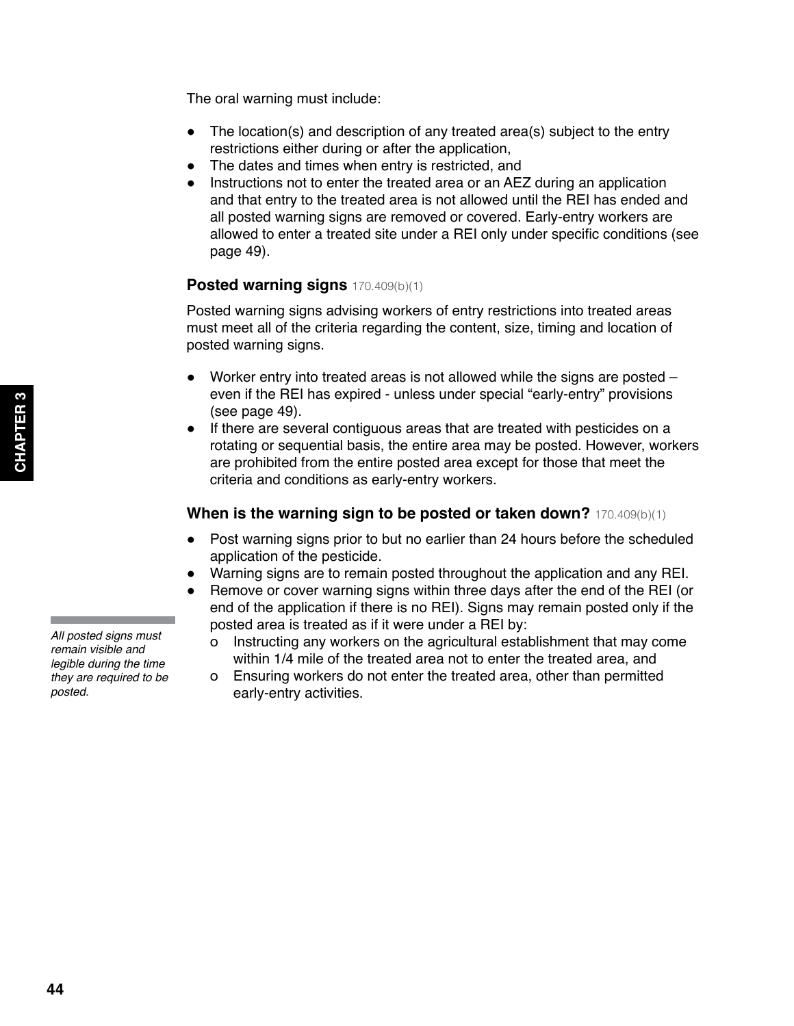*All posted signs must remain visible and legible during the time they are required to be posted.*

The oral warning must include:

- The location(s) and description of any treated area(s) subject to the entry restrictions either during or after the application,
- The dates and times when entry is restricted, and
- Instructions not to enter the treated area or an AEZ during an application and that entry to the treated area is not allowed until the REI has ended and all posted warning signs are removed or covered. Early-entry workers are allowed to enter a treated site under a REI only under specific conditions (see page 49).

## **Posted warning signs** 170.409(b)(1)

Posted warning signs advising workers of entry restrictions into treated areas must meet all of the criteria regarding the content, size, timing and location of posted warning signs.

- Worker entry into treated areas is not allowed while the signs are posted even if the REI has expired - unless under special "early-entry" provisions (see page 49).
- If there are several contiguous areas that are treated with pesticides on a rotating or sequential basis, the entire area may be posted. However, workers are prohibited from the entire posted area except for those that meet the criteria and conditions as early-entry workers.

#### **When is the warning sign to be posted or taken down?** 170.409(b)(1)

- Post warning signs prior to but no earlier than 24 hours before the scheduled application of the pesticide.
- Warning signs are to remain posted throughout the application and any REI.
- Remove or cover warning signs within three days after the end of the REI (or end of the application if there is no REI). Signs may remain posted only if the posted area is treated as if it were under a REI by:
	- о Instructing any workers on the agricultural establishment that may come within 1/4 mile of the treated area not to enter the treated area, and
	- о Ensuring workers do not enter the treated area, other than permitted early-entry activities.

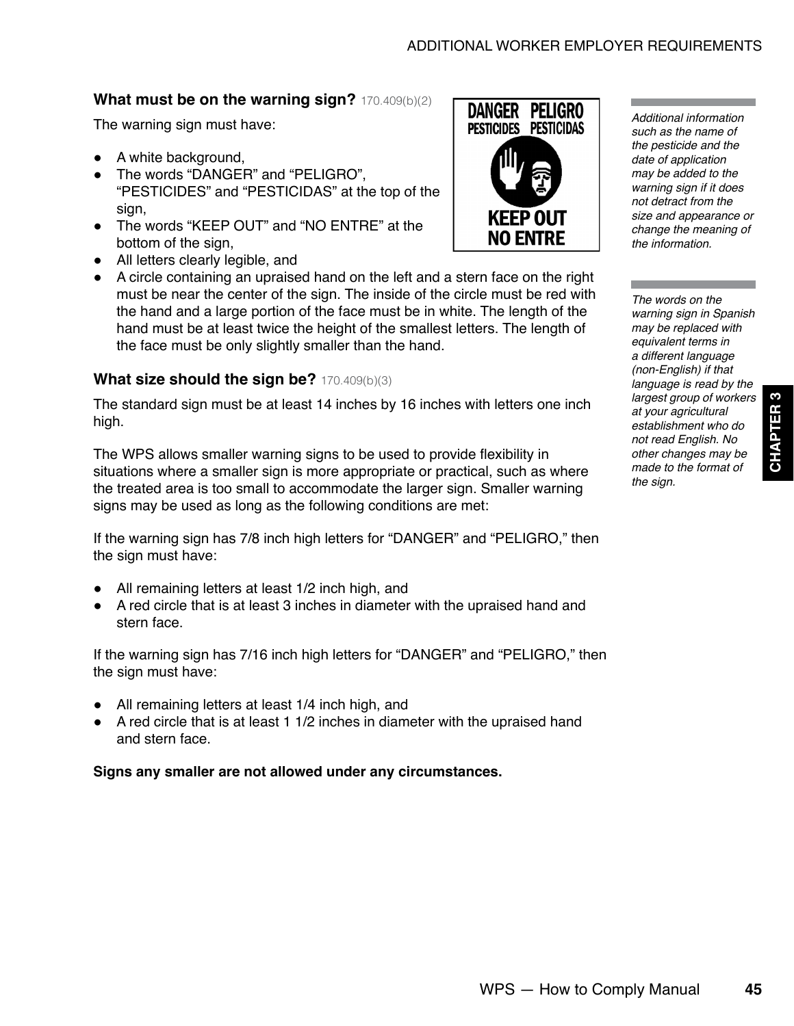### **What must be on the warning sign?** 170.409(b)(2)

The warning sign must have:

- A white background,
- The words "DANGER" and "PELIGRO", "PESTICIDES" and "PESTICIDAS" at the top of the sign,
- The words "KEEP OUT" and "NO ENTRE" at the bottom of the sign,
- All letters clearly legible, and
- A circle containing an upraised hand on the left and a stern face on the right must be near the center of the sign. The inside of the circle must be red with the hand and a large portion of the face must be in white. The length of the hand must be at least twice the height of the smallest letters. The length of the face must be only slightly smaller than the hand.

#### **What size should the sign be?** 170.409(b)(3)

The standard sign must be at least 14 inches by 16 inches with letters one inch high.

The WPS allows smaller warning signs to be used to provide flexibility in situations where a smaller sign is more appropriate or practical, such as where the treated area is too small to accommodate the larger sign. Smaller warning signs may be used as long as the following conditions are met:

If the warning sign has 7/8 inch high letters for "DANGER" and "PELIGRO," then the sign must have:

- All remaining letters at least 1/2 inch high, and
- A red circle that is at least 3 inches in diameter with the upraised hand and stern face.

If the warning sign has 7/16 inch high letters for "DANGER" and "PELIGRO," then the sign must have:

- All remaining letters at least 1/4 inch high, and
- A red circle that is at least 1 1/2 inches in diameter with the upraised hand and stern face.

**Signs any smaller are not allowed under any circumstances.**



*such as the name of the pesticide and the date of application may be added to the warning sign if it does not detract from the size and appearance or change the meaning of the information.*

*Additional information* 

*The words on the warning sign in Spanish may be replaced with equivalent terms in a different language (non-English) if that language is read by the largest group of workers at your agricultural establishment who do not read English. No other changes may be made to the format of the sign.*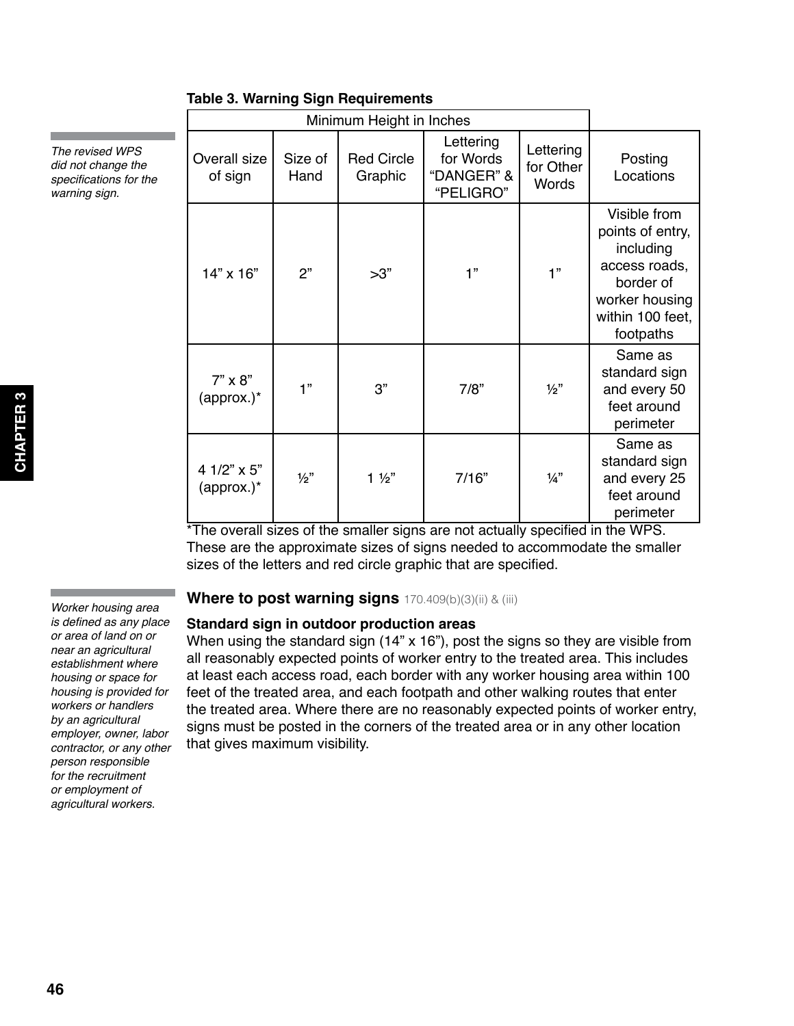|                              |                 | 1991 - 1991 - 1991 - 1992 - 1994 - 1995 - 1996 - 1997 - 1998 - 1999 - 1999 - 1999 - 1999 - 1999 - 199 |                                                   |                                 |                                                                                                                                |
|------------------------------|-----------------|-------------------------------------------------------------------------------------------------------|---------------------------------------------------|---------------------------------|--------------------------------------------------------------------------------------------------------------------------------|
|                              |                 | Minimum Height in Inches                                                                              |                                                   |                                 |                                                                                                                                |
| Overall size<br>of sign      | Size of<br>Hand | <b>Red Circle</b><br>Graphic                                                                          | Lettering<br>for Words<br>"DANGER" &<br>"PELIGRO" | Lettering<br>for Other<br>Words | Posting<br>Locations                                                                                                           |
| 14" x 16"                    | 2"              | >3"                                                                                                   | 1"                                                | 1"                              | Visible from<br>points of entry,<br>including<br>access roads,<br>border of<br>worker housing<br>within 100 feet,<br>footpaths |
| $7" \times 8"$<br>(approx.)* | 1"              | 3"                                                                                                    | 7/8"                                              | $\frac{1}{2}$                   | Same as<br>standard sign<br>and every 50<br>feet around<br>perimeter                                                           |
| 4 1/2" x 5"<br>$\frac{1}{2}$ | 1/2"            | $1\frac{1}{2}$                                                                                        | 7/16"                                             | $\frac{1}{4}$                   | Same as<br>standard sign<br>and every 25<br>feet around<br>perimeter                                                           |

## **Table 3. Warning Sign Requirements**

\*The overall sizes of the smaller signs are not actually specified in the WPS. These are the approximate sizes of signs needed to accommodate the smaller sizes of the letters and red circle graphic that are specified.

#### **Where to post warning signs** 170.409(b)(3)(ii) & (iii)

#### **Standard sign in outdoor production areas**

When using the standard sign (14" x 16"), post the signs so they are visible from all reasonably expected points of worker entry to the treated area. This includes at least each access road, each border with any worker housing area within 100 feet of the treated area, and each footpath and other walking routes that enter the treated area. Where there are no reasonably expected points of worker entry, signs must be posted in the corners of the treated area or in any other location that gives maximum visibility.

*Worker housing area*  is defined as any place *or area of land on or near an agricultural establishment where housing or space for housing is provided for workers or handlers by an agricultural employer, owner, labor contractor, or any other person responsible for the recruitment or employment of agricultural workers.*

*The revised WPS did not change the*  specifications for the *warning sign.*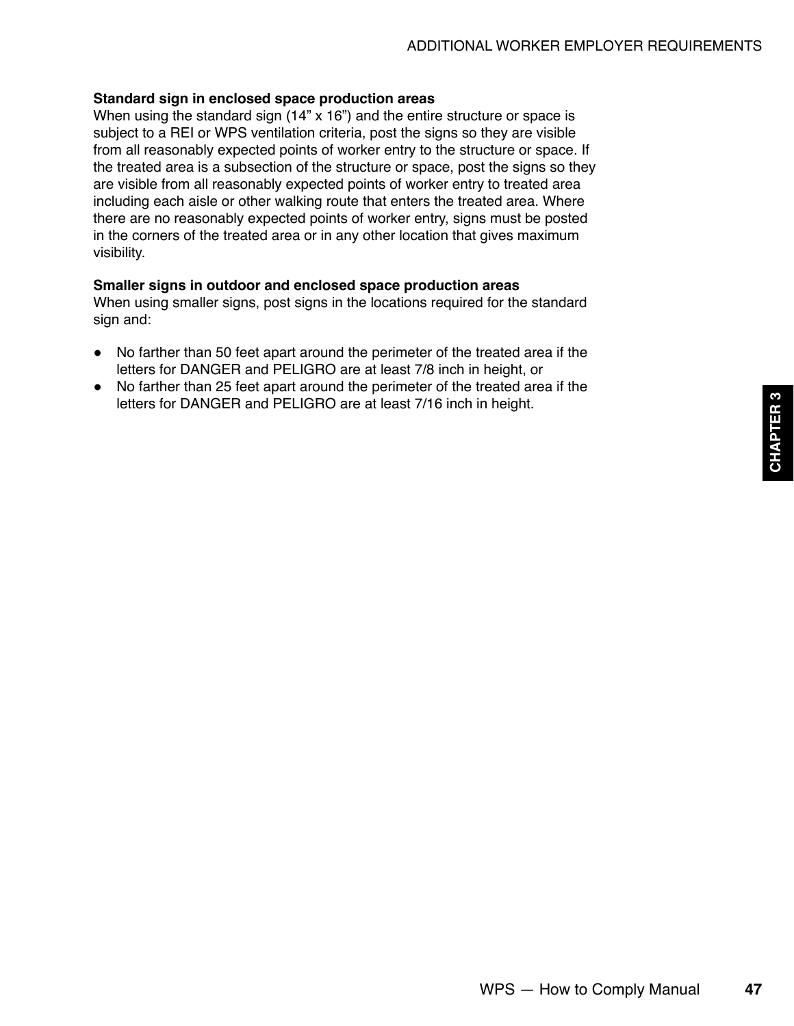#### **Standard sign in enclosed space production areas**

When using the standard sign (14" x 16") and the entire structure or space is subject to a REI or WPS ventilation criteria, post the signs so they are visible from all reasonably expected points of worker entry to the structure or space. If the treated area is a subsection of the structure or space, post the signs so they are visible from all reasonably expected points of worker entry to treated area including each aisle or other walking route that enters the treated area. Where there are no reasonably expected points of worker entry, signs must be posted in the corners of the treated area or in any other location that gives maximum visibility.

#### **Smaller signs in outdoor and enclosed space production areas**

When using smaller signs, post signs in the locations required for the standard sign and:

- No farther than 50 feet apart around the perimeter of the treated area if the letters for DANGER and PELIGRO are at least 7/8 inch in height, or
- No farther than 25 feet apart around the perimeter of the treated area if the letters for DANGER and PELIGRO are at least 7/16 inch in height.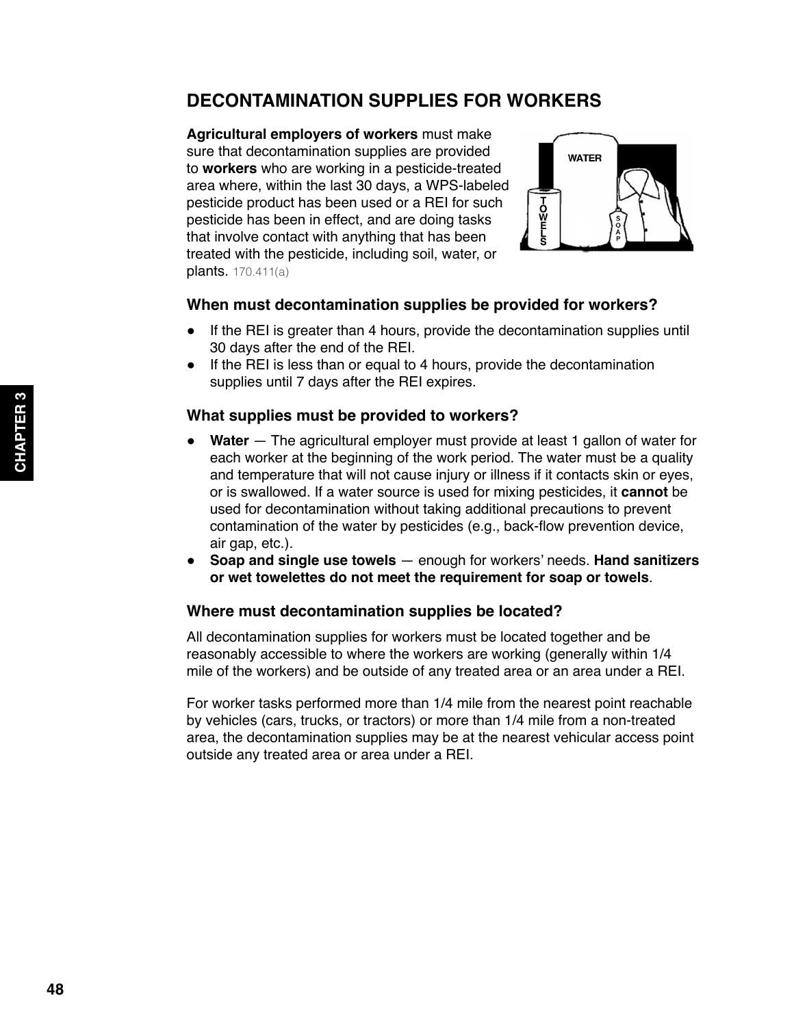# <span id="page-13-0"></span>**DECONTAMINATION SUPPLIES FOR WORKERS**

**Agricultural employers of workers** must make sure that decontamination supplies are provided to **workers** who are working in a pesticide-treated area where, within the last 30 days, a WPS-labeled pesticide product has been used or a REI for such pesticide has been in effect, and are doing tasks that involve contact with anything that has been treated with the pesticide, including soil, water, or plants. 170.411(a)



### **When must decontamination supplies be provided for workers?**

- If the REI is greater than 4 hours, provide the decontamination supplies until 30 days after the end of the REI.
- If the REI is less than or equal to 4 hours, provide the decontamination supplies until 7 days after the REI expires.

### **What supplies must be provided to workers?**

- **Water** The agricultural employer must provide at least 1 gallon of water for each worker at the beginning of the work period. The water must be a quality and temperature that will not cause injury or illness if it contacts skin or eyes, or is swallowed. If a water source is used for mixing pesticides, it **cannot** be used for decontamination without taking additional precautions to prevent contamination of the water by pesticides (e.g., back-flow prevention device, air gap, etc.).
- **Soap and single use towels** enough for workers' needs. **Hand sanitizers or wet towelettes do not meet the requirement for soap or towels**.

# **Where must decontamination supplies be located?**

All decontamination supplies for workers must be located together and be reasonably accessible to where the workers are working (generally within 1/4 mile of the workers) and be outside of any treated area or an area under a REI.

For worker tasks performed more than 1/4 mile from the nearest point reachable by vehicles (cars, trucks, or tractors) or more than 1/4 mile from a non-treated area, the decontamination supplies may be at the nearest vehicular access point outside any treated area or area under a REI.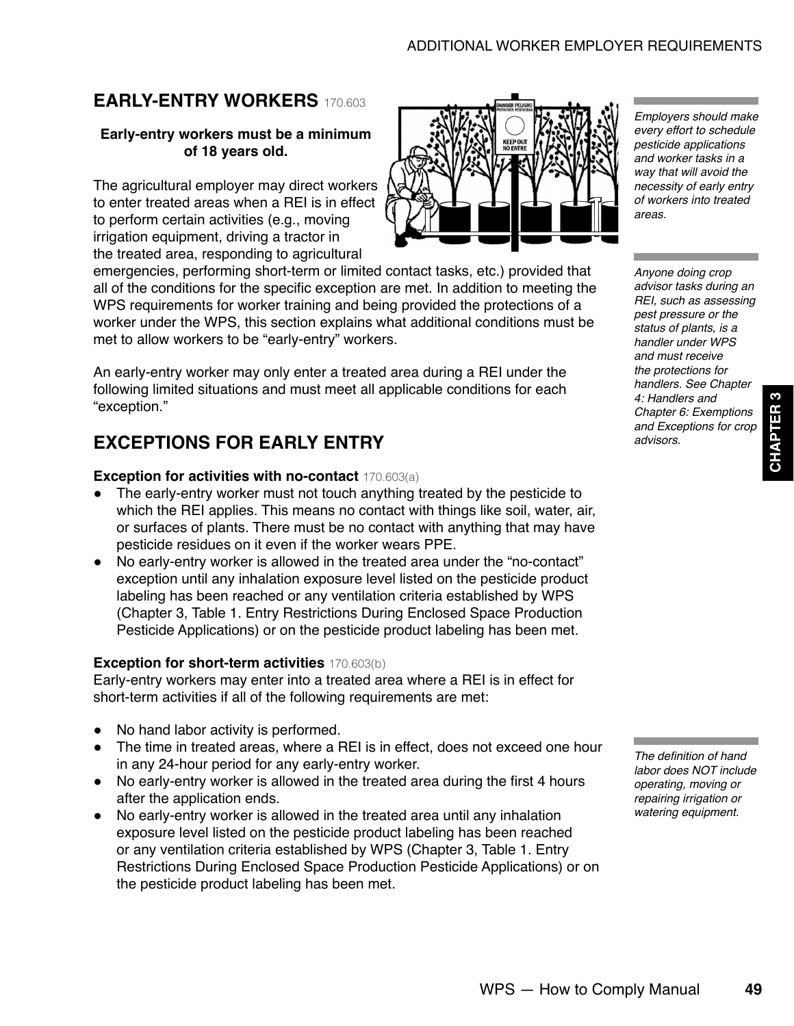# <span id="page-14-0"></span>**EARLY-ENTRY WORKERS** 170.603

#### **Early-entry workers must be a minimum of 18 years old.**

The agricultural employer may direct workers to enter treated areas when a REI is in effect to perform certain activities (e.g., moving irrigation equipment, driving a tractor in the treated area, responding to agricultural

emergencies, performing short-term or limited contact tasks, etc.) provided that all of the conditions for the specific exception are met. In addition to meeting the WPS requirements for worker training and being provided the protections of a worker under the WPS, this section explains what additional conditions must be met to allow workers to be "early-entry" workers.

An early-entry worker may only enter a treated area during a REI under the following limited situations and must meet all applicable conditions for each "exception."

# **EXCEPTIONS FOR EARLY ENTRY**

#### **Exception for activities with no-contact** 170.603(a)

- The early-entry worker must not touch anything treated by the pesticide to which the REI applies. This means no contact with things like soil, water, air, or surfaces of plants. There must be no contact with anything that may have pesticide residues on it even if the worker wears PPE.
- No early-entry worker is allowed in the treated area under the "no-contact" exception until any inhalation exposure level listed on the pesticide product labeling has been reached or any ventilation criteria established by WPS (Chapter 3, Table 1. Entry Restrictions During Enclosed Space Production Pesticide Applications) or on the pesticide product labeling has been met.

#### **Exception for short-term activities** 170.603(b)

Early-entry workers may enter into a treated area where a REI is in effect for short-term activities if all of the following requirements are met:

- No hand labor activity is performed.
- The time in treated areas, where a REI is in effect, does not exceed one hour in any 24-hour period for any early-entry worker.
- No early-entry worker is allowed in the treated area during the first 4 hours after the application ends.
- No early-entry worker is allowed in the treated area until any inhalation exposure level listed on the pesticide product labeling has been reached or any ventilation criteria established by WPS (Chapter 3, Table 1. Entry Restrictions During Enclosed Space Production Pesticide Applications) or on the pesticide product labeling has been met.



*Anyone doing crop advisor tasks during an*  REI, such as assessing *pest pressure or the status of plants, is a handler under WPS and must receive the protections for handlers. See Chapter 4: Handlers and Chapter 6: Exemptions and Exceptions for crop advisors.*

*Employers should make every effort to schedule pesticide applications and worker tasks in a way that will avoid the necessity of early entry of workers into treated* 

*areas.*

**CHAPTER 3**

**CHAPTER** 

3

The definition of hand *labor does NOT include operating, moving or repairing irrigation or watering equipment.*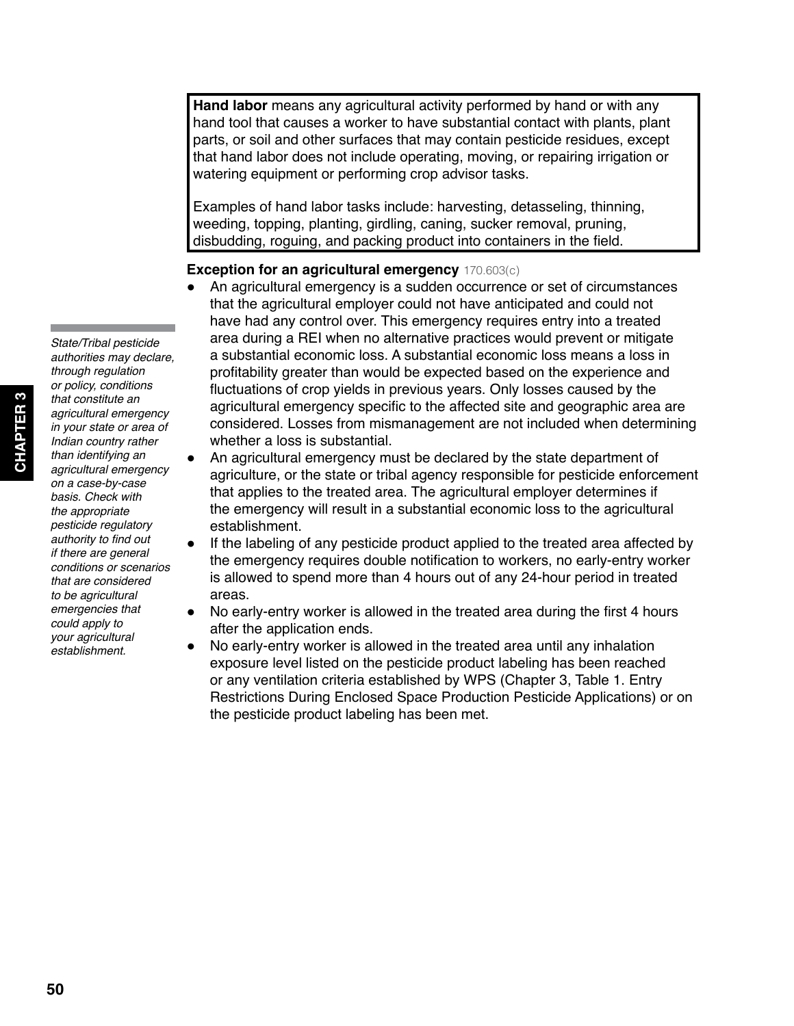**Hand labor** means any agricultural activity performed by hand or with any hand tool that causes a worker to have substantial contact with plants, plant parts, or soil and other surfaces that may contain pesticide residues, except that hand labor does not include operating, moving, or repairing irrigation or watering equipment or performing crop advisor tasks.

Examples of hand labor tasks include: harvesting, detasseling, thinning, weeding, topping, planting, girdling, caning, sucker removal, pruning, disbudding, roguing, and packing product into containers in the field.

#### **Exception for an agricultural emergency** 170.603(c)

- An agricultural emergency is a sudden occurrence or set of circumstances that the agricultural employer could not have anticipated and could not have had any control over. This emergency requires entry into a treated area during a REI when no alternative practices would prevent or mitigate a substantial economic loss. A substantial economic loss means a loss in profitability greater than would be expected based on the experience and fluctuations of crop yields in previous years. Only losses caused by the agricultural emergency specific to the affected site and geographic area are considered. Losses from mismanagement are not included when determining whether a loss is substantial.
- An agricultural emergency must be declared by the state department of agriculture, or the state or tribal agency responsible for pesticide enforcement that applies to the treated area. The agricultural employer determines if the emergency will result in a substantial economic loss to the agricultural establishment.
- If the labeling of any pesticide product applied to the treated area affected by the emergency requires double notification to workers, no early-entry worker is allowed to spend more than 4 hours out of any 24-hour period in treated areas.
- No early-entry worker is allowed in the treated area during the first 4 hours after the application ends.
- No early-entry worker is allowed in the treated area until any inhalation exposure level listed on the pesticide product labeling has been reached or any ventilation criteria established by WPS (Chapter 3, Table 1. Entry Restrictions During Enclosed Space Production Pesticide Applications) or on the pesticide product labeling has been met.

*emergencies that could apply to your agricultural establishment.*

*State/Tribal pesticide authorities may declare,* 

**CHAPTER 3**

PTER<sub>3</sub>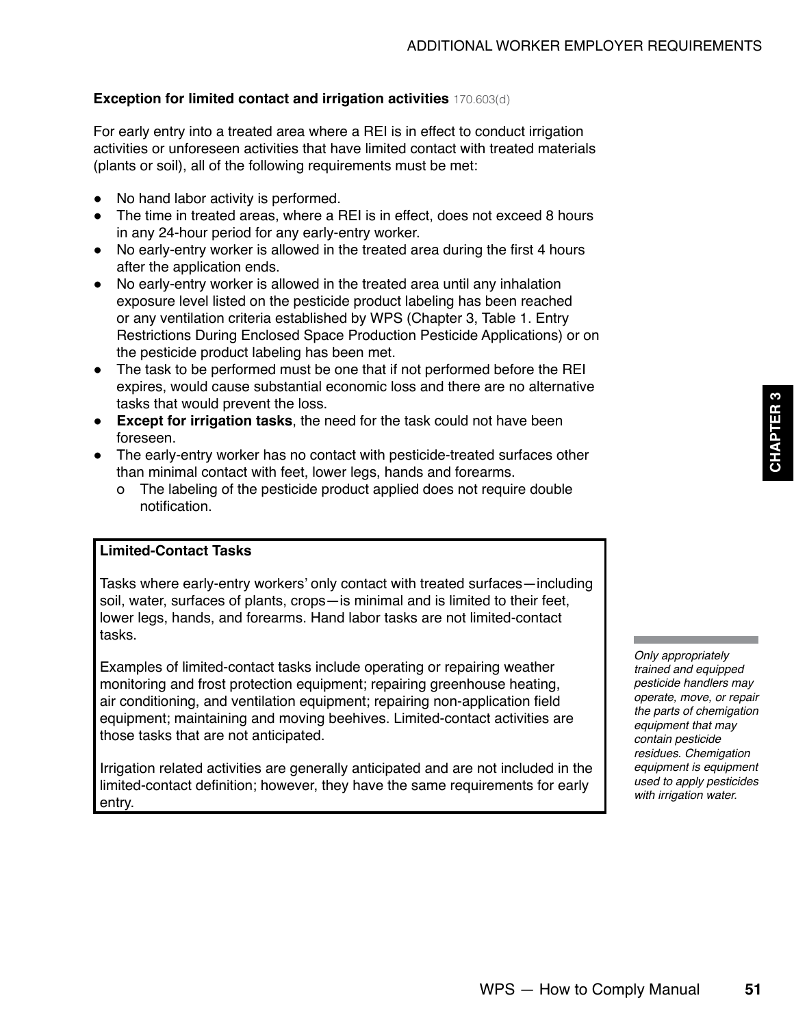# **Exception for limited contact and irrigation activities** 170.603(d)

For early entry into a treated area where a REI is in effect to conduct irrigation activities or unforeseen activities that have limited contact with treated materials (plants or soil), all of the following requirements must be met:

- No hand labor activity is performed.
- The time in treated areas, where a REI is in effect, does not exceed 8 hours in any 24-hour period for any early-entry worker.
- No early-entry worker is allowed in the treated area during the first 4 hours after the application ends.
- No early-entry worker is allowed in the treated area until any inhalation exposure level listed on the pesticide product labeling has been reached or any ventilation criteria established by WPS (Chapter 3, Table 1. Entry Restrictions During Enclosed Space Production Pesticide Applications) or on the pesticide product labeling has been met.
- The task to be performed must be one that if not performed before the REI expires, would cause substantial economic loss and there are no alternative tasks that would prevent the loss.
- **Except for irrigation tasks**, the need for the task could not have been foreseen.
- The early-entry worker has no contact with pesticide-treated surfaces other than minimal contact with feet, lower legs, hands and forearms.
	- о The labeling of the pesticide product applied does not require double notification.

#### **Limited-Contact Tasks**

Tasks where early-entry workers' only contact with treated surfaces—including soil, water, surfaces of plants, crops—is minimal and is limited to their feet, lower legs, hands, and forearms. Hand labor tasks are not limited-contact tasks.

Examples of limited-contact tasks include operating or repairing weather monitoring and frost protection equipment; repairing greenhouse heating, air conditioning, and ventilation equipment; repairing non-application field equipment; maintaining and moving beehives. Limited-contact activities are those tasks that are not anticipated.

Irrigation related activities are generally anticipated and are not included in the limited-contact definition; however, they have the same requirements for early entry.

*Only appropriately trained and equipped pesticide handlers may operate, move, or repair the parts of chemigation equipment that may contain pesticide residues. Chemigation equipment is equipment used to apply pesticides with irrigation water.*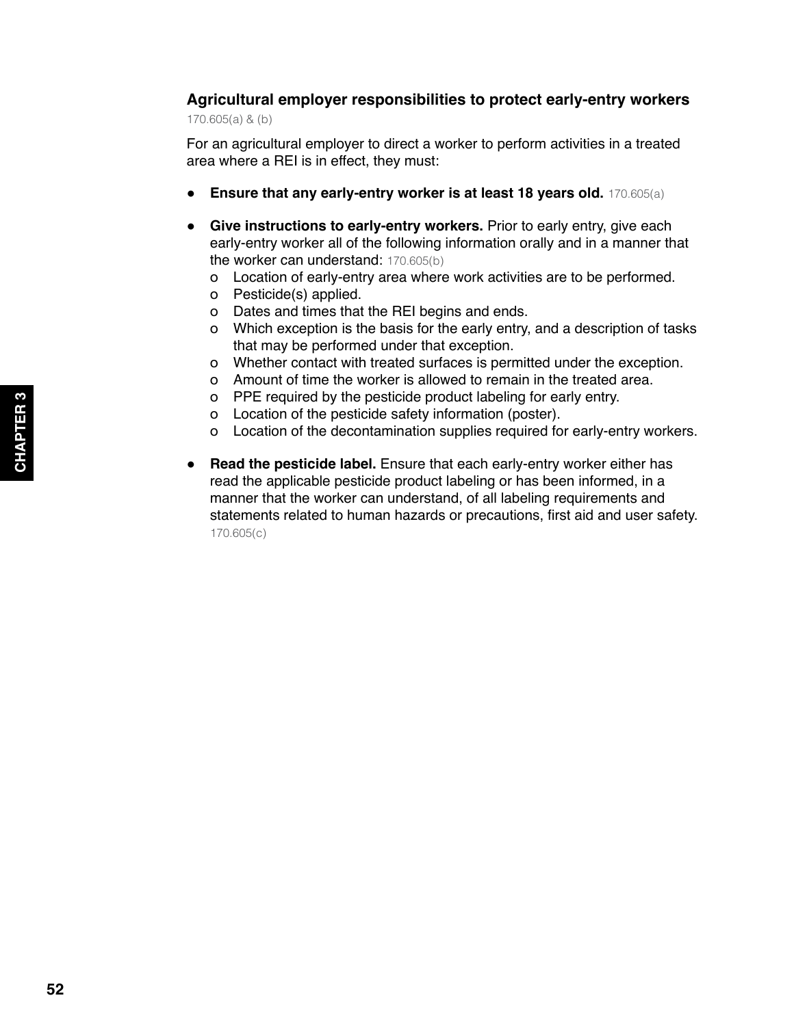# **Agricultural employer responsibilities to protect early-entry workers**

170.605(a) & (b)

For an agricultural employer to direct a worker to perform activities in a treated area where a REI is in effect, they must:

- **Ensure that any early-entry worker is at least 18 years old.** 170.605(a)
- **Give instructions to early-entry workers.** Prior to early entry, give each early-entry worker all of the following information orally and in a manner that the worker can understand: 170.605(b)
	- о Location of early-entry area where work activities are to be performed.
	- о Pesticide(s) applied.
	- о Dates and times that the REI begins and ends.
	- о Which exception is the basis for the early entry, and a description of tasks that may be performed under that exception.
	- о Whether contact with treated surfaces is permitted under the exception.
	- о Amount of time the worker is allowed to remain in the treated area.
	- о PPE required by the pesticide product labeling for early entry.
	- о Location of the pesticide safety information (poster).
	- о Location of the decontamination supplies required for early-entry workers.
- **Read the pesticide label.** Ensure that each early-entry worker either has read the applicable pesticide product labeling or has been informed, in a manner that the worker can understand, of all labeling requirements and statements related to human hazards or precautions, first aid and user safety. 170.605(c)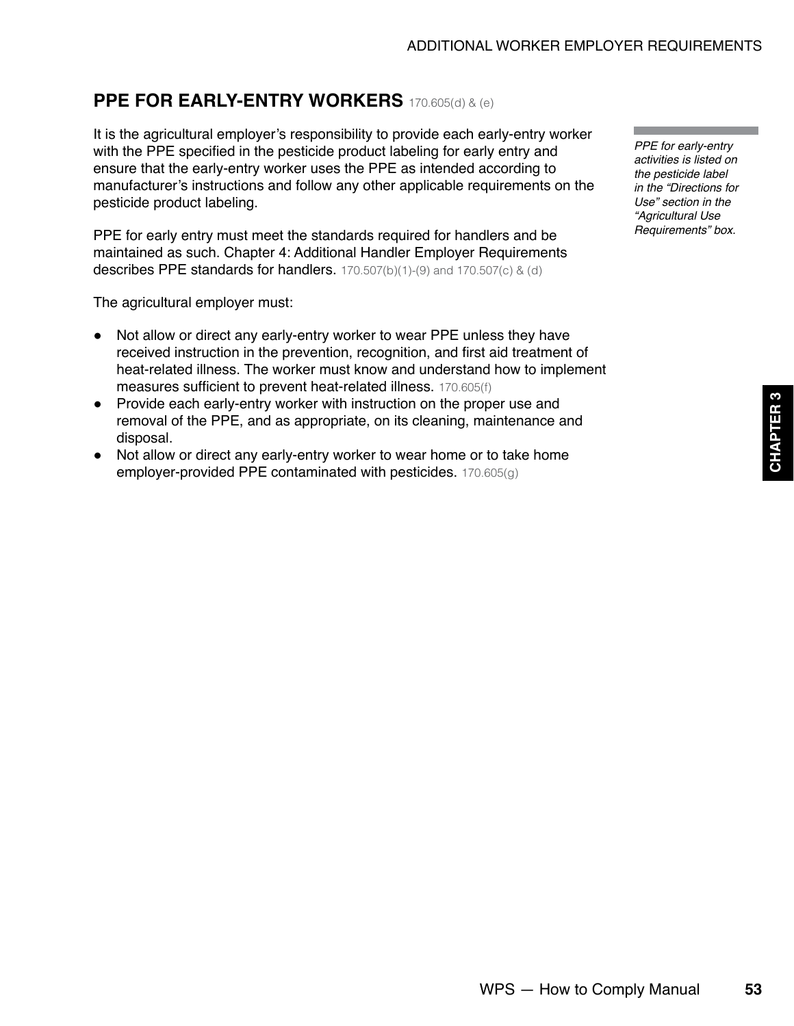# <span id="page-18-0"></span>**PPE FOR EARLY-ENTRY WORKERS** 170.605(d) & (e)

It is the agricultural employer's responsibility to provide each early-entry worker with the PPE specified in the pesticide product labeling for early entry and ensure that the early-entry worker uses the PPE as intended according to manufacturer's instructions and follow any other applicable requirements on the pesticide product labeling.

PPE for early entry must meet the standards required for handlers and be maintained as such. Chapter 4: Additional Handler Employer Requirements describes PPE standards for handlers. 170.507(b)(1)-(9) and 170.507(c) & (d)

The agricultural employer must:

- Not allow or direct any early-entry worker to wear PPE unless they have received instruction in the prevention, recognition, and first aid treatment of heat-related illness. The worker must know and understand how to implement measures sufficient to prevent heat-related illness. 170.605(f)
- Provide each early-entry worker with instruction on the proper use and removal of the PPE, and as appropriate, on its cleaning, maintenance and disposal.
- Not allow or direct any early-entry worker to wear home or to take home employer-provided PPE contaminated with pesticides. 170.605(g)

*PPE for early-entry activities is listed on the pesticide label in the "Directions for Use" section in the "Agricultural Use Requirements" box.*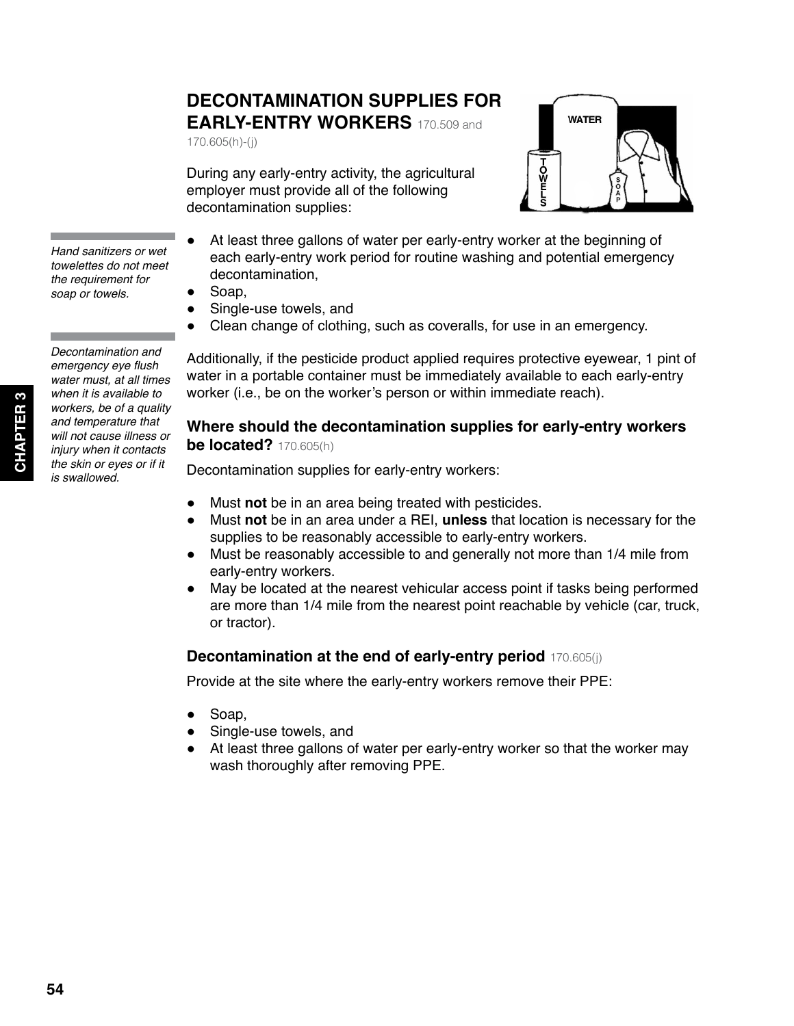# <span id="page-19-0"></span>**DECONTAMINATION SUPPLIES FOR EARLY-ENTRY WORKERS** 170.509 and

170.605(h)-(j)



During any early-entry activity, the agricultural employer must provide all of the following decontamination supplies:

*Hand sanitizers or wet towelettes do not meet the requirement for soap or towels.*

*Decontamination and*  emergency eye flush *water must, at all times when it is available to workers, be of a quality and temperature that will not cause illness or injury when it contacts the skin or eyes or if it is swallowed.*

- At least three gallons of water per early-entry worker at the beginning of each early-entry work period for routine washing and potential emergency decontamination,
- Soap,
- Single-use towels, and
- Clean change of clothing, such as coveralls, for use in an emergency.

Additionally, if the pesticide product applied requires protective eyewear, 1 pint of water in a portable container must be immediately available to each early-entry worker (i.e., be on the worker's person or within immediate reach).

### **Where should the decontamination supplies for early-entry workers be located?** 170.605(h)

Decontamination supplies for early-entry workers:

- Must **not** be in an area being treated with pesticides.
- Must **not** be in an area under a REI, **unless** that location is necessary for the supplies to be reasonably accessible to early-entry workers.
- Must be reasonably accessible to and generally not more than 1/4 mile from early-entry workers.
- May be located at the nearest vehicular access point if tasks being performed are more than 1/4 mile from the nearest point reachable by vehicle (car, truck, or tractor).

# **Decontamination at the end of early-entry period** 170.605(j)

Provide at the site where the early-entry workers remove their PPE:

- Soap.
- Single-use towels, and
- At least three gallons of water per early-entry worker so that the worker may wash thoroughly after removing PPE.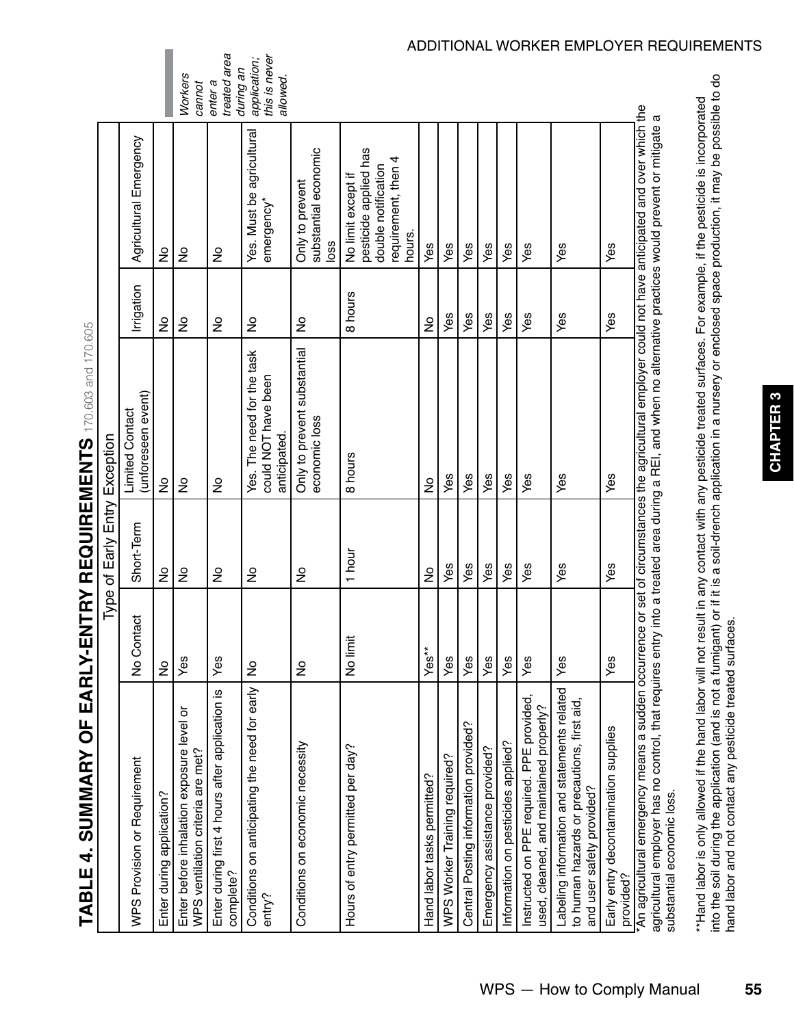<span id="page-20-0"></span>

|                                                                                                                                                                                                                                                 |               | Type of Early Entry Exception |                                                                                                 |               |                                                                                                     |                                           |
|-------------------------------------------------------------------------------------------------------------------------------------------------------------------------------------------------------------------------------------------------|---------------|-------------------------------|-------------------------------------------------------------------------------------------------|---------------|-----------------------------------------------------------------------------------------------------|-------------------------------------------|
| WPS Provision or Requirement                                                                                                                                                                                                                    | No Contact    | Short-Term                    | (unforeseen event)<br><b>Limited Contact</b>                                                    | Irrigation    | Agricultural Emergency                                                                              |                                           |
| Enter during application?                                                                                                                                                                                                                       | $\frac{1}{2}$ | ş                             | $\frac{1}{2}$                                                                                   | ş             | ş                                                                                                   |                                           |
| Enter before inhalation exposure level or<br>WPS ventilation criteria are met?                                                                                                                                                                  | Yes           | $\frac{1}{2}$                 | $\frac{1}{2}$                                                                                   | ş             | ş                                                                                                   | <b>Workers</b><br>cannot                  |
| Enter during first 4 hours after application is<br>complete?                                                                                                                                                                                    | Yes           | $\frac{1}{2}$                 | $\frac{1}{2}$                                                                                   | ş             | ş                                                                                                   | treated area<br>during an<br>enter a      |
| Conditions on anticipating the need for early<br>entry?                                                                                                                                                                                         | ş             | $\frac{1}{2}$                 | Yes. The need for the task<br>could NOT have been<br>anticipated.                               | ş             | Yes. Must be agricultural<br>emergency*                                                             | this is never<br>application;<br>allowed. |
| Conditions on economic necessity                                                                                                                                                                                                                | $\frac{1}{2}$ | $\frac{1}{2}$                 | Only to prevent substantial<br>economic loss                                                    | $\frac{1}{2}$ | substantial economic<br>Only to prevent<br>loss                                                     |                                           |
| Hours of entry permitted per day?                                                                                                                                                                                                               | No limit      | 1 hour                        | 8 hours                                                                                         | 8 hours       | pesticide applied has<br>requirement, then 4<br>double notification<br>No limit except if<br>hours. |                                           |
| Hand labor tasks permitted?                                                                                                                                                                                                                     | Yes**         | $\frac{1}{2}$                 | $\frac{1}{2}$                                                                                   | ş             | Yes                                                                                                 |                                           |
| WPS Worker Training required?                                                                                                                                                                                                                   | Yes           | Yes                           | Yes                                                                                             | Yes           | Yes                                                                                                 |                                           |
| Central Posting information provided?                                                                                                                                                                                                           | Yes           | Yes                           | Yes                                                                                             | Yes           | Yes                                                                                                 |                                           |
| Emergency assistance provided?                                                                                                                                                                                                                  | Yes           | Yes                           | Yes                                                                                             | Yes           | Yes                                                                                                 |                                           |
| Information on pesticides applied?                                                                                                                                                                                                              | Yes           | Yes                           | Yes                                                                                             | Yes           | Yes                                                                                                 |                                           |
| Instructed on PPE required. PPE provided,<br>used, cleaned, and maintained properly?                                                                                                                                                            | Yes           | Yes                           | Yes                                                                                             | Yes           | Yes                                                                                                 |                                           |
| Labeling information and statements related<br>to human hazards or precautions, first aid<br>and user safety provided?                                                                                                                          | Yes           | Yes                           | Yes                                                                                             | Yes           | Yes                                                                                                 |                                           |
| Early entry decontamination supplies<br>provided?                                                                                                                                                                                               | Yes           | Yes                           | Yes                                                                                             | Yes           | Yes                                                                                                 |                                           |
| *An agricultural emergency means a sudden occurrence or set of circumstances the agricultural employer could not have anticipated and over which the<br>agricultural employer has no control, that requires entry<br>substantial economic loss. |               |                               | into a treated area during a REI, and when no alternative practices would prevent or mitigate a |               |                                                                                                     |                                           |

\*\*Hand labor is only allowed if the hand labor will not result in any contact with any pesticide treated surfaces. For example, if the pesticide is incorporated into the soil during the application (and is not a fumigant) or if it is a soil-drench application in a nursery or enclosed space production, it may be possible to do

into the soil during the application (and is not a fumigant) or if it is a soil-drench application in a nursery or enclosed space production, it may be possible to do<br>hand labor and not contact any pesticide treated surfac \*\*Hand labor is only allowed if the hand labor will not result in any contact with any pesticide treated surfaces. For example, if the pesticide is incorporated

hand labor and not contact any pesticide treated surfaces.